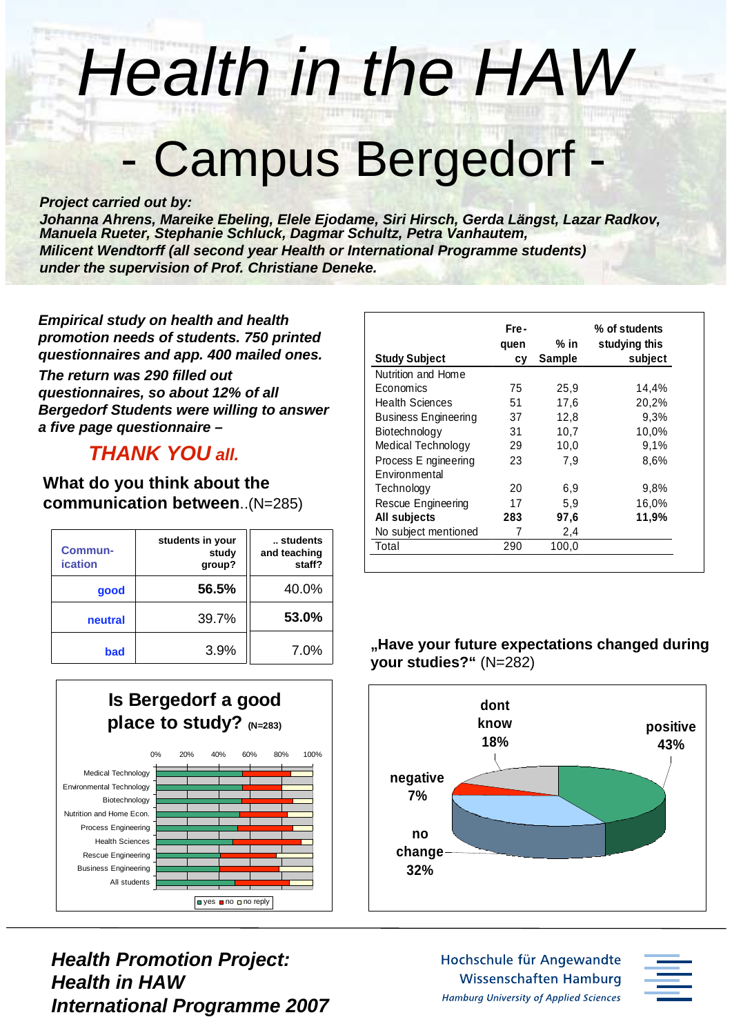# *Health in the HAW*

# - Campus Bergedorf -

#### *Project carried out by:*

*Johanna Ahrens, Mareike Ebeling, Elele Ejodame, Siri Hirsch, Gerda Längst, Lazar Radkov, Manuela Rueter, Stephanie Schluck, Dagmar Schultz, Petra Vanhautem, Milicent Wendtorff (all second year Health or International Programme students) under the supervision of Prof. Christiane Deneke.*

*Empirical study on health and health promotion needs of students. 750 printed questionnaires and app. 400 mailed ones.*

*The return was 290 filled out questionnaires, so about 12% of all Bergedorf Students were willing to answer a five page questionnaire –*

### *THANK YOU all.*

#### **What do you think about the communication between**..(N=285)

| Commun-<br><b>ication</b> | students in your<br>study<br>group? | students<br>and teaching<br>staff? |
|---------------------------|-------------------------------------|------------------------------------|
| good                      | 56.5%                               | 40.0%                              |
| neutral                   | 39.7%                               | 53.0%                              |
| bad                       | 3.9%                                | 7.0%                               |



*Health Promotion Project: Health in HAW International Programme 2007*

| <b>Study Subject</b>                  | Fre-<br>quen<br>СV | $%$ in<br><b>Sample</b> | % of students<br>studying this<br>subject |
|---------------------------------------|--------------------|-------------------------|-------------------------------------------|
| Nutrition and Home                    |                    |                         |                                           |
| Economics                             | 75                 | 25,9                    | 14,4%                                     |
| <b>Health Sciences</b>                | 51                 | 17,6                    | 20,2%                                     |
| <b>Business Engineering</b>           | 37                 | 12,8                    | 9,3%                                      |
| Biotechnology                         | 31                 | 10,7                    | 10,0%                                     |
| Medical Technology                    | 29                 | 10,0                    | 9,1%                                      |
| Process E ngineering<br>Environmental | 23                 | 7.9                     | 8,6%                                      |
| Technology                            | 20                 | 6,9                     | 9.8%                                      |
| Rescue Engineering                    | 17                 | 5,9                     | 16,0%                                     |
| All subjects                          | 283                | 97,6                    | 11,9%                                     |
| No subject mentioned                  | 7                  | 2,4                     |                                           |
| Total                                 | 290                | 100,0                   |                                           |

#### **"Have your future expectations changed during your studies?"** (N=282)



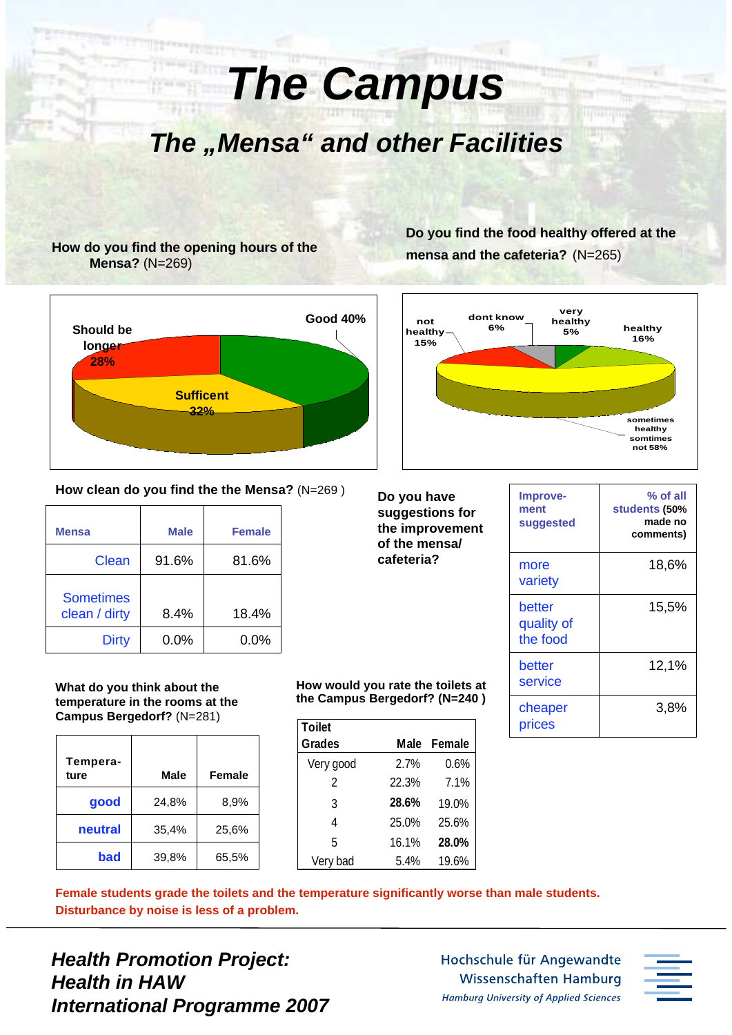**The "Mensa" and other Facilities** 

*The Campus*

#### **How do you find the opening hours of the Mensa?** (N=269)



#### **How clean do you find the the Mensa?** (N=269 )

| <b>Mensa</b>                      | <b>Male</b> | <b>Female</b> |
|-----------------------------------|-------------|---------------|
| Clean                             | 91.6%       | 81.6%         |
| <b>Sometimes</b><br>clean / dirty | 8.4%        | 18.4%         |
| <b>Dirty</b>                      | $0.0\%$     | $0.0\%$       |

**What do you think about the temperature in the rooms at the Campus Bergedorf?** (N=281)

| Tempera-<br>ture | <b>Male</b> | Female |
|------------------|-------------|--------|
| good             | 24,8%       | 8,9%   |
| neutral          | 35,4%       | 25,6%  |
| bad              | 39,8%       | 65,5%  |

**How would you rate the toilets at the Campus Bergedorf? (N=240 )**

| <b>Toilet</b> |       |        |
|---------------|-------|--------|
| <b>Grades</b> | Male  | Female |
| Very good     | 2.7%  | 0.6%   |
| 2             | 22.3% | 7.1%   |
| 3             | 28.6% | 19.0%  |
| 4             | 25.0% | 25.6%  |
| 5             | 16.1% | 28.0%  |
| Very bad      | 5.4%  | 19.6%  |

**Do you find the food healthy offered at the mensa and the cafeteria?** (N=265)



**Do you have suggestions for the improvement of the mensa/ cafeteria?**

| Improve-<br>ment<br>suggested    | % of all<br>students (50%<br>made no<br>comments) |
|----------------------------------|---------------------------------------------------|
| more<br>variety                  | 18,6%                                             |
| better<br>quality of<br>the food | 15,5%                                             |
| better<br>service                | 12,1%                                             |
| cheaper<br>prices                | 3,8%                                              |

**Female students grade the toilets and the temperature significantly worse than male students. Disturbance by noise is less of a problem.**

*Health Promotion Project: Health in HAW International Programme 2007*

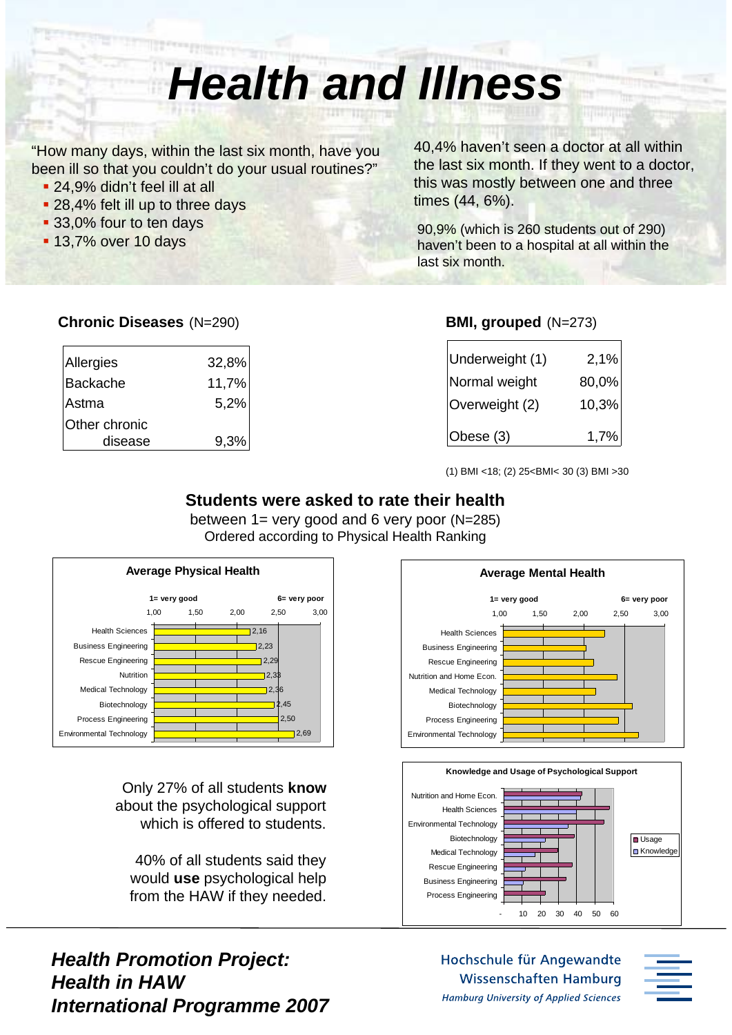### *Health and Illness*

"How many days, within the last six month, have you been ill so that you couldn't do your usual routines?"

- 24,9% didn't feel ill at all
- 28,4% felt ill up to three days
- 33,0% four to ten days
- 

40,4% haven't seen a doctor at all within the last six month. If they went to a doctor, this was mostly between one and three times (44, 6%).

■ 33,0% four to ten days and the students of 290 students out of 290 students out of 290 students out of 290 students out of 290 students out of 290 students out of 290 students out of 290 students out of 290 students out haven't been to a hospital at all within the last six month.

#### **Chronic Diseases** (N=290)

| Allergies       | 32,8% |
|-----------------|-------|
| <b>Backache</b> | 11,7% |
| Astma           | 5,2%  |
| Other chronic   |       |
| disease         | 9,3%  |

#### **BMI, grouped** (N=273)

| Underweight (1) | 2,1%  |
|-----------------|-------|
| Normal weight   | 80,0% |
| Overweight (2)  | 10,3% |
| Obese $(3)$     | 1,7%  |

(1) BMI <18; (2) 25<BMI< 30 (3) BMI >30

#### **Students were asked to rate their health**

between  $1=$  very good and 6 very poor (N=285) Ordered according to Physical Health Ranking



Only 27% of all students **know** about the psychological support which is offered to students.

40% of all students said they would **use** psychological help from the HAW if they needed.

*Health Promotion Project: Health in HAW International Programme 2007*





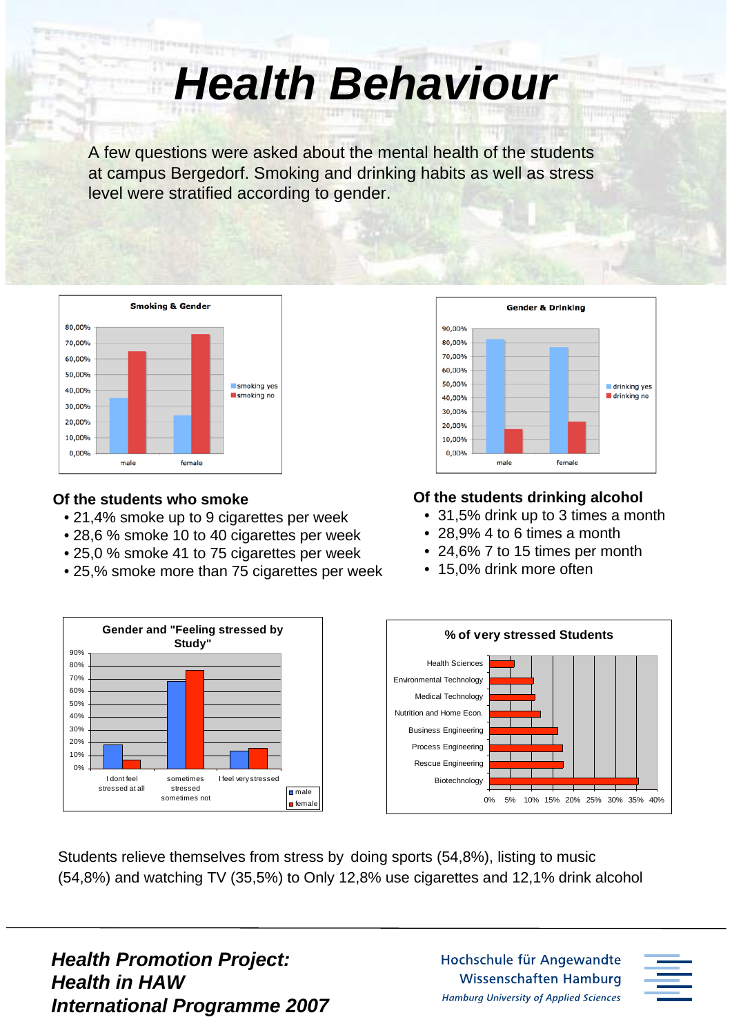*Health Behaviour*

A few questions were asked about the mental health of the students at campus Bergedorf. Smoking and drinking habits as well as stress level were stratified according to gender.



#### **Of the students who smoke**

- 21,4% smoke up to 9 cigarettes per week
- 28,6 % smoke 10 to 40 cigarettes per week
- 25,0 % smoke 41 to 75 cigarettes per week
- 25,% smoke more than 75 cigarettes per week



#### **Of the students drinking alcohol**

- •31,5% drink up to 3 times a month
- 28,9% 4 to 6 times a month
- 24,6% 7 to 15 times per month
- 15,0% drink more often



Students relieve themselves from stress by doing sports (54,8%), listing to music (54,8%) and watching TV (35,5%) to Only 12,8% use cigarettes and 12,1% drink alcohol

*Health Promotion Project: Health in HAW International Programme 2007*

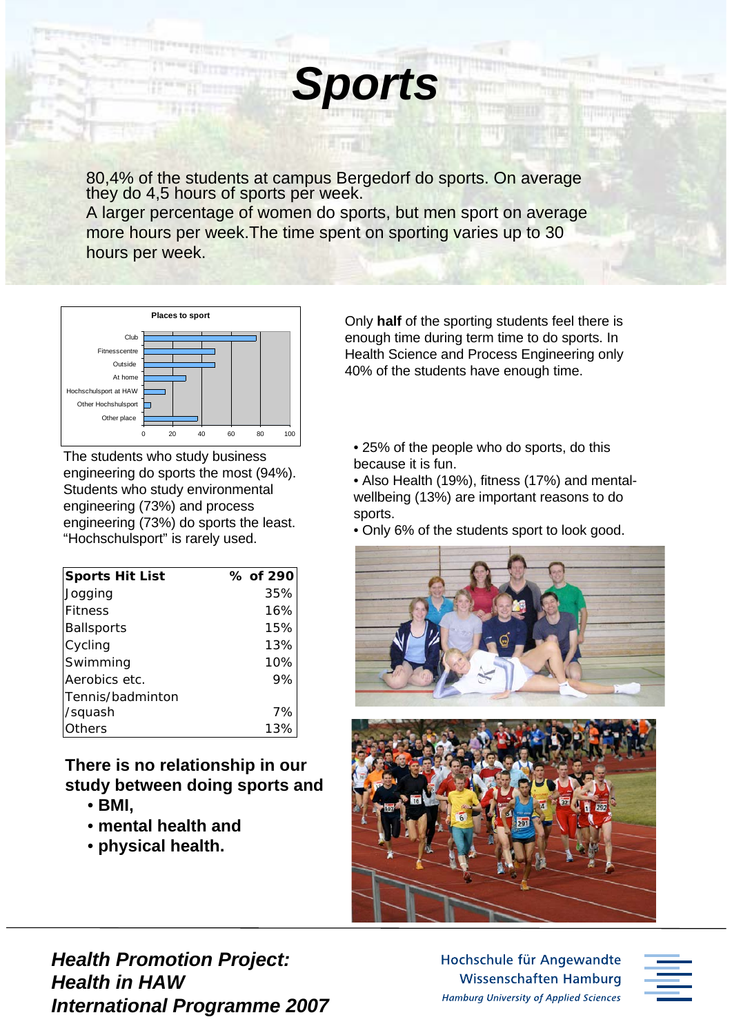80,4% of the students at campus Bergedorf do sports. On average they do 4,5 hours of sports per week.

*Sports*

A larger percentage of women do sports, but men sport on average more hours per week.The time spent on sporting varies up to 30 hours per week.



The students who study business engineering do sports the most (94%). Students who study environmental engineering (73%) and process engineering (73%) do sports the least. "Hochschulsport" is rarely used.

| <b>Sports Hit List</b> | % of 290 |
|------------------------|----------|
| Jogging                | 35%      |
| <b>Fitness</b>         | 16%      |
| <b>Ballsports</b>      | 15%      |
| Cycling                | 13%      |
| Swimming               | 10%      |
| Aerobics etc.          | 9%       |
| Tennis/badminton       |          |
| /squash                | 7%       |
| Others                 | 13%      |

### **There is no relationship in our study between doing sports and**

- • **BMI,**
- • **mental health and**
- • **physical health.**

Only **half** of the sporting students feel there is enough time during term time to do sports. In Health Science and Process Engineering only 40% of the students have enough time.

• 25% of the people who do sports, do this because it is fun.

• Also Health (19%), fitness (17%) and mentalwellbeing (13%) are important reasons to do sports.

• Only 6% of the students sport to look good.





*Health Promotion Project: Health in HAW International Programme 2007*